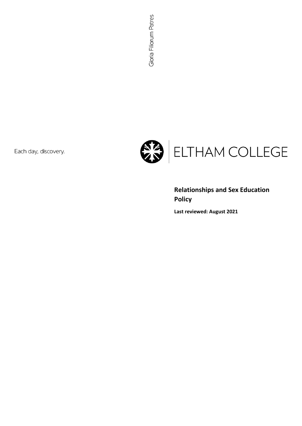Each day, discovery.



# **Relationships and Sex Education Policy**

**Last reviewed: August 2021**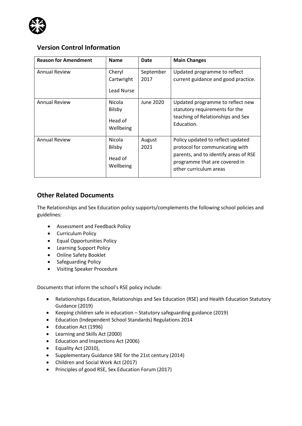

# **Version Control Information**

| <b>Reason for Amendment</b> | <b>Name</b>                                     | Date              | <b>Main Changes</b>                                                                                                                                                      |
|-----------------------------|-------------------------------------------------|-------------------|--------------------------------------------------------------------------------------------------------------------------------------------------------------------------|
| <b>Annual Review</b>        | Cheryl<br>Cartwright<br>Lead Nurse              | September<br>2017 | Updated programme to reflect<br>current guidance and good practice.                                                                                                      |
| <b>Annual Review</b>        | Nicola<br>Bilsby<br>Head of<br>Wellbeing        | June 2020         | Updated programme to reflect new<br>statutory requirements for the<br>teaching of Relationships and Sex<br>Education.                                                    |
| <b>Annual Review</b>        | Nicola<br><b>Bilsby</b><br>Head of<br>Wellbeing | August<br>2021    | Policy updated to reflect updated<br>protocol for communicating with<br>parents, and to identify areas of RSE<br>programme that are covered in<br>other curriculum areas |

### **Other Related Documents**

The Relationships and Sex Education policy supports/complements the following school policies and guidelines:

- Assessment and Feedback Policy
- Curriculum Policy
- Equal Opportunities Policy
- Learning Support Policy
- Online Safety Booklet
- Safeguarding Policy
- Visiting Speaker Procedure

Documents that inform the school's RSE policy include:

- Relationships Education, Relationships and Sex Education (RSE) and Health Education Statutory Guidance (2019)
- Keeping children safe in education Statutory safeguarding guidance (2019)
- Education (Independent School Standards) Regulations 2014
- Education Act (1996)
- Learning and Skills Act (2000)
- Education and Inspections Act (2006)
- Equality Act (2010),
- Supplementary Guidance SRE for the 21st century (2014)
- Children and Social Work Act (2017)
- Principles of good RSE, Sex Education Forum (2017)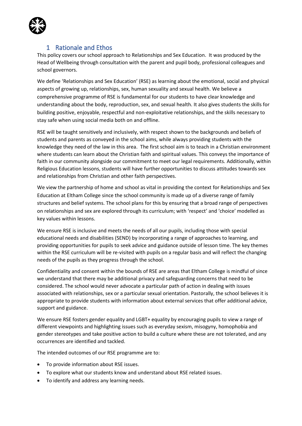

# 1 Rationale and Ethos

This policy covers our school approach to Relationships and Sex Education. It was produced by the Head of Wellbeing through consultation with the parent and pupil body, professional colleagues and school governors.

We define 'Relationships and Sex Education' (RSE) as learning about the emotional, social and physical aspects of growing up, relationships, sex, human sexuality and sexual health. We believe a comprehensive programme of RSE is fundamental for our students to have clear knowledge and understanding about the body, reproduction, sex, and sexual health. It also gives students the skills for building positive, enjoyable, respectful and non-exploitative relationships, and the skills necessary to stay safe when using social media both on and offline.

RSE will be taught sensitively and inclusively, with respect shown to the backgrounds and beliefs of students and parents as conveyed in the school aims, while always providing students with the knowledge they need of the law in this area. The first school aim is to teach in a Christian environment where students can learn about the Christian faith and spiritual values. This conveys the importance of faith in our community alongside our commitment to meet our legal requirements. Additionally, within Religious Education lessons, students will have further opportunities to discuss attitudes towards sex and relationships from Christian and other faith perspectives.

We view the partnership of home and school as vital in providing the context for Relationships and Sex Education at Eltham College since the school community is made up of a diverse range of family structures and belief systems. The school plans for this by ensuring that a broad range of perspectives on relationships and sex are explored through its curriculum; with 'respect' and 'choice' modelled as key values within lessons.

We ensure RSE is inclusive and meets the needs of all our pupils, including those with special educational needs and disabilities (SEND) by incorporating a range of approaches to learning, and providing opportunities for pupils to seek advice and guidance outside of lesson time. The key themes within the RSE curriculum will be re-visited with pupils on a regular basis and will reflect the changing needs of the pupils as they progress through the school.

Confidentiality and consent within the bounds of RSE are areas that Eltham College is mindful of since we understand that there may be additional privacy and safeguarding concerns that need to be considered. The school would never advocate a particular path of action in dealing with issues associated with relationships, sex or a particular sexual orientation. Pastorally, the school believes it is appropriate to provide students with information about external services that offer additional advice, support and guidance.

We ensure RSE fosters gender equality and LGBT+ equality by encouraging pupils to view a range of different viewpoints and highlighting issues such as everyday sexism, misogyny, homophobia and gender stereotypes and take positive action to build a culture where these are not tolerated, and any occurrences are identified and tackled.

The intended outcomes of our RSE programme are to:

- To provide information about RSE issues.
- To explore what our students know and understand about RSE related issues.
- To identify and address any learning needs.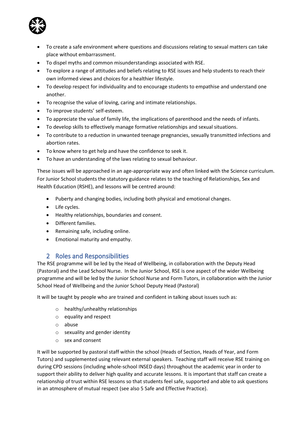

- To create a safe environment where questions and discussions relating to sexual matters can take place without embarrassment.
- To dispel myths and common misunderstandings associated with RSE.
- To explore a range of attitudes and beliefs relating to RSE issues and help students to reach their own informed views and choices for a healthier lifestyle.
- To develop respect for individuality and to encourage students to empathise and understand one another.
- To recognise the value of loving, caring and intimate relationships.
- To improve students' self-esteem.
- To appreciate the value of family life, the implications of parenthood and the needs of infants.
- To develop skills to effectively manage formative relationships and sexual situations.
- To contribute to a reduction in unwanted teenage pregnancies, sexually transmitted infections and abortion rates.
- To know where to get help and have the confidence to seek it.
- To have an understanding of the laws relating to sexual behaviour.

These issues will be approached in an age-appropriate way and often linked with the Science curriculum. For Junior School students the statutory guidance relates to the teaching of Relationships, Sex and Health Education (RSHE), and lessons will be centred around:

- Puberty and changing bodies, including both physical and emotional changes.
- Life cycles.
- Healthy relationships, boundaries and consent.
- Different families.
- Remaining safe, including online.
- Emotional maturity and empathy.

#### 2 Roles and Responsibilities

The RSE programme will be led by the Head of Wellbeing, in collaboration with the Deputy Head (Pastoral) and the Lead School Nurse. In the Junior School, RSE is one aspect of the wider Wellbeing programme and will be led by the Junior School Nurse and Form Tutors, in collaboration with the Junior School Head of Wellbeing and the Junior School Deputy Head (Pastoral)

It will be taught by people who are trained and confident in talking about issues such as:

- o healthy/unhealthy relationships
- o equality and respect
- o abuse
- o sexuality and gender identity
- o sex and consent

It will be supported by pastoral staff within the school (Heads of Section, Heads of Year, and Form Tutors) and supplemented using relevant external speakers. Teaching staff will receive RSE training on during CPD sessions (including whole-school INSED days) throughout the academic year in order to support their ability to deliver high quality and accurate lessons. It is important that staff can create a relationship of trust within RSE lessons so that students feel safe, supported and able to ask questions in an atmosphere of mutual respect (see also 5 Safe and Effective Practice).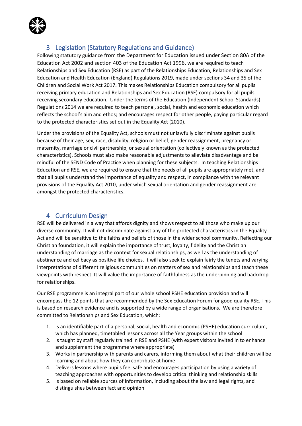

# 3 Legislation (Statutory Regulations and Guidance)

Following statutory guidance from the Department for Education issued under Section 80A of the Education Act 2002 and section 403 of the Education Act 1996, we are required to teach Relationships and Sex Education (RSE) as part of the Relationships Education, Relationships and Sex Education and Health Education (England) Regulations 2019, made under sections 34 and 35 of the Children and Social Work Act 2017. This makes Relationships Education compulsory for all pupils receiving primary education and Relationships and Sex Education (RSE) compulsory for all pupils receiving secondary education. Under the terms of the Education (Independent School Standards) Regulations 2014 we are required to teach personal, social, health and economic education which reflects the school's aim and ethos; and encourages respect for other people, paying particular regard to the protected characteristics set out in the Equality Act (2010).

Under the provisions of the Equality Act, schools must not unlawfully discriminate against pupils because of their age, sex, race, disability, religion or belief, gender reassignment, pregnancy or maternity, marriage or civil partnership, or sexual orientation (collectively known as the protected characteristics). Schools must also make reasonable adjustments to alleviate disadvantage and be mindful of the SEND Code of Practice when planning for these subjects. In teaching Relationships Education and RSE, we are required to ensure that the needs of all pupils are appropriately met, and that all pupils understand the importance of equality and respect, in compliance with the relevant provisions of the Equality Act 2010, under which sexual orientation and gender reassignment are amongst the protected characteristics.

# 4 Curriculum Design

RSE will be delivered in a way that affords dignity and shows respect to all those who make up our diverse community. It will not discriminate against any of the protected characteristics in the Equality Act and will be sensitive to the faiths and beliefs of those in the wider school community. Reflecting our Christian foundation, it will explain the importance of trust, loyalty, fidelity and the Christian understanding of marriage as the context for sexual relationships, as well as the understanding of abstinence and celibacy as positive life choices. It will also seek to explain fairly the tenets and varying interpretations of different religious communities on matters of sex and relationships and teach these viewpoints with respect. It will value the importance of faithfulness as the underpinning and backdrop for relationships.

Our RSE programme is an integral part of our whole school PSHE education provision and will encompass the 12 points that are recommended by the Sex Education Forum for good quality RSE. This is based on research evidence and is supported by a wide range of organisations. We are therefore committed to Relationships and Sex Education, which:

- 1. Is an identifiable part of a personal, social, health and economic (PSHE) education curriculum, which has planned, timetabled lessons across all the Year groups within the school
- 2. Is taught by staff regularly trained in RSE and PSHE (with expert visitors invited in to enhance and supplement the programme where appropriate)
- 3. Works in partnership with parents and carers, informing them about what their children will be learning and about how they can contribute at home
- 4. Delivers lessons where pupils feel safe and encourages participation by using a variety of teaching approaches with opportunities to develop critical thinking and relationship skills
- 5. Is based on reliable sources of information, including about the law and legal rights, and distinguishes between fact and opinion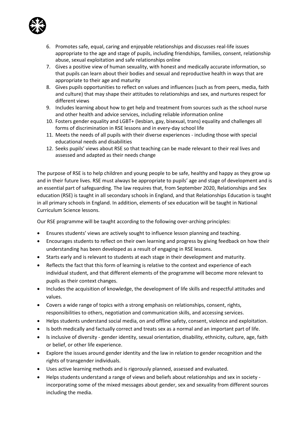

- 6. Promotes safe, equal, caring and enjoyable relationships and discusses real-life issues appropriate to the age and stage of pupils, including friendships, families, consent, relationship abuse, sexual exploitation and safe relationships online
- 7. Gives a positive view of human sexuality, with honest and medically accurate information, so that pupils can learn about their bodies and sexual and reproductive health in ways that are appropriate to their age and maturity
- 8. Gives pupils opportunities to reflect on values and influences (such as from peers, media, faith and culture) that may shape their attitudes to relationships and sex, and nurtures respect for different views
- 9. Includes learning about how to get help and treatment from sources such as the school nurse and other health and advice services, including reliable information online
- 10. Fosters gender equality and LGBT+ (lesbian, gay, bisexual, trans) equality and challenges all forms of discrimination in RSE lessons and in every-day school life
- 11. Meets the needs of all pupils with their diverse experiences including those with special educational needs and disabilities
- 12. Seeks pupils' views about RSE so that teaching can be made relevant to their real lives and assessed and adapted as their needs change

The purpose of RSE is to help children and young people to be safe, healthy and happy as they grow up and in their future lives. RSE must always be appropriate to pupils' age and stage of development and is an essential part of safeguarding. The law requires that, from September 2020, Relationships and Sex education (RSE) is taught in all secondary schools in England, and that Relationships Education is taught in all primary schools in England. In addition, elements of sex education will be taught in National Curriculum Science lessons.

Our RSE programme will be taught according to the following over-arching principles:

- Ensures students' views are actively sought to influence lesson planning and teaching.
- Encourages students to reflect on their own learning and progress by giving feedback on how their understanding has been developed as a result of engaging in RSE lessons.
- Starts early and is relevant to students at each stage in their development and maturity.
- Reflects the fact that this form of learning is relative to the context and experience of each individual student, and that different elements of the programme will become more relevant to pupils as their context changes.
- Includes the acquisition of knowledge, the development of life skills and respectful attitudes and values.
- Covers a wide range of topics with a strong emphasis on relationships, consent, rights, responsibilities to others, negotiation and communication skills, and accessing services.
- Helps students understand social media, on and offline safety, consent, violence and exploitation.
- Is both medically and factually correct and treats sex as a normal and an important part of life.
- Is inclusive of diversity gender identity, sexual orientation, disability, ethnicity, culture, age, faith or belief, or other life experience.
- Explore the issues around gender identity and the law in relation to gender recognition and the rights of transgender individuals.
- Uses active learning methods and is rigorously planned, assessed and evaluated.
- Helps students understand a range of views and beliefs about relationships and sex in society incorporating some of the mixed messages about gender, sex and sexuality from different sources including the media.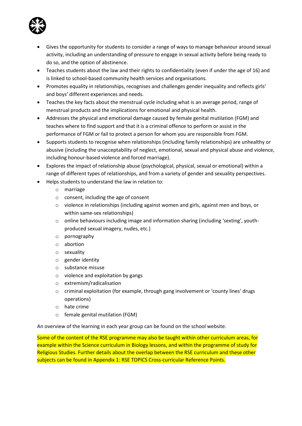

- Gives the opportunity for students to consider a range of ways to manage behaviour around sexual activity, including an understanding of pressure to engage in sexual activity before being ready to do so, and the option of abstinence.
- Teaches students about the law and their rights to confidentiality (even if under the age of 16) and is linked to school-based community health services and organisations.
- Promotes equality in relationships, recognises and challenges gender inequality and reflects girls' and boys' different experiences and needs.
- Teaches the key facts about the menstrual cycle including what is an average period, range of menstrual products and the implications for emotional and physical health.
- Addresses the physical and emotional damage caused by female genital mutilation (FGM) and teaches where to find support and that it is a criminal offence to perform or assist in the performance of FGM or fail to protect a person for whom you are responsible from FGM.
- Supports students to recognise when relationships (including family relationships) are unhealthy or abusive (including the unacceptability of neglect, emotional, sexual and physical abuse and violence, including honour-based violence and forced marriage).
- Explores the impact of relationship abuse (psychological, physical, sexual or emotional) within a range of different types of relationships, and from a variety of gender and sexuality perspectives.
- Helps students to understand the law in relation to:
	- o marriage
	- o consent, including the age of consent
	- $\circ$  violence in relationships (including against women and girls, against men and boys, or within same-sex relationships)
	- $\circ$  online behaviours including image and information sharing (including 'sexting', youthproduced sexual imagery, nudes, etc.)
	- o pornography
	- o abortion
	- o sexuality
	- o gender identity
	- o substance misuse
	- o violence and exploitation by gangs
	- o extremism/radicalisation
	- $\circ$  criminal exploitation (for example, through gang involvement or 'county lines' drugs operations)
	- o hate crime
	- o female genital mutilation (FGM)

An overview of the learning in each year group can be found on the school website.

Some of the content of the RSE programme may also be taught within other curriculum areas, for example within the Science curriculum in Biology lessons, and within the programme of study for Religious Studies. Further details about the overlap between the RSE curriculum and these other subjects can be found in Appendix 1: RSE TOPICS Cross-curricular Reference Points.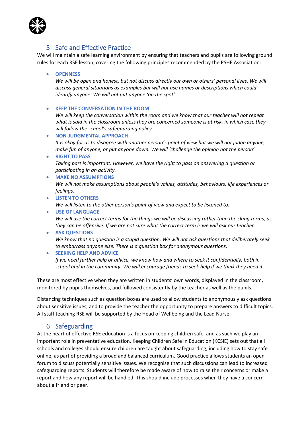

### 5 Safe and Effective Practice

We will maintain a safe learning environment by ensuring that teachers and pupils are following ground rules for each RSE lesson, covering the following principles recommended by the PSHE Association:

• **OPENNESS**

*We will be open and honest, but not discuss directly our own or others' personal lives. We will discuss general situations as examples but will not use names or descriptions which could identify anyone. We will not put anyone 'on the spot'.*

• **KEEP THE CONVERSATION IN THE ROOM**

*We will keep the conversation within the room and we know that our teacher will not repeat what is said in the classroom unless they are concerned someone is at risk, in which case they will follow the school's safeguarding policy.*

- **NON-JUDGMENTAL APPROACH** *It is okay for us to disagree with another person's point of view but we will not judge anyone, make fun of anyone, or put anyone down. We will 'challenge the opinion not the person'.*
- **RIGHT TO PASS** *Taking part is important. However, we have the right to pass on answering a question or participating in an activity.*
- **MAKE NO ASSUMPTIONS** *We will not make assumptions about people's values, attitudes, behaviours, life experiences or feelings.*
- **LISTEN TO OTHERS**

*We will listen to the other person's point of view and expect to be listened to.*

- **USE OF LANGUAGE** *We will use the correct terms for the things we will be discussing rather than the slang terms, as they can be offensive. If we are not sure what the correct term is we will ask our teacher.*
- **ASK QUESTIONS** *We know that no question is a stupid question. We will not ask questions that deliberately seek to embarrass anyone else. There is a question box for anonymous questions.*
- **SEEKING HELP AND ADVICE**

*If we need further help or advice, we know how and where to seek it confidentially, both in school and in the community. We will encourage friends to seek help if we think they need it.*

These are most effective when they are written in students' own words, displayed in the classroom, monitored by pupils themselves, and followed consistently by the teacher as well as the pupils.

Distancing techniques such as question boxes are used to allow students to anonymously ask questions about sensitive issues, and to provide the teacher the opportunity to prepare answers to difficult topics. All staff teaching RSE will be supported by the Head of Wellbeing and the Lead Nurse.

#### 6 Safeguarding

At the heart of effective RSE education is a focus on keeping children safe, and as such we play an important role in preventative education. Keeping Children Safe in Education (KCSIE) sets out that all schools and colleges should ensure children are taught about safeguarding, including how to stay safe online, as part of providing a broad and balanced curriculum. Good practice allows students an open forum to discuss potentially sensitive issues. We recognise that such discussions can lead to increased safeguarding reports. Students will therefore be made aware of how to raise their concerns or make a report and how any report will be handled. This should include processes when they have a concern about a friend or peer.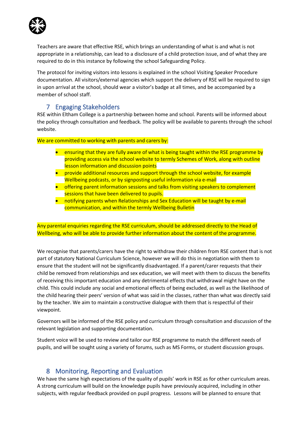

Teachers are aware that effective RSE, which brings an understanding of what is and what is not appropriate in a relationship, can lead to a disclosure of a child protection issue, and of what they are required to do in this instance by following the school Safeguarding Policy.

The protocol for inviting visitors into lessons is explained in the school Visiting Speaker Procedure documentation. All visitors/external agencies which support the delivery of RSE will be required to sign in upon arrival at the school, should wear a visitor's badge at all times, and be accompanied by a member of school staff.

#### 7 Engaging Stakeholders

RSE within Eltham College is a partnership between home and school. Parents will be informed about the policy through consultation and feedback. The policy will be available to parents through the school website.

We are committed to working with parents and carers by:

- ensuring that they are fully aware of what is being taught within the RSE programme by providing access via the school website to termly Schemes of Work, along with outline lesson information and discussion points
- provide additional resources and support through the school website, for example Wellbeing podcasts, or by signposting useful information via e-mail
- offering parent information sessions and talks from visiting speakers to complement sessions that have been delivered to pupils.
- notifying parents when Relationships and Sex Education will be taught by e-mail communication, and within the termly Wellbeing Bulletin

Any parental enquiries regarding the RSE curriculum, should be addressed directly to the Head of Wellbeing, who will be able to provide further information about the content of the programme.

We recognise that parents/carers have the right to withdraw their children from RSE content that is not part of statutory National Curriculum Science, however we will do this in negotiation with them to ensure that the student will not be significantly disadvantaged. If a parent/carer requests that their child be removed from relationships and sex education, we will meet with them to discuss the benefits of receiving this important education and any detrimental effects that withdrawal might have on the child. This could include any social and emotional effects of being excluded, as well as the likelihood of the child hearing their peers' version of what was said in the classes, rather than what was directly said by the teacher. We aim to maintain a constructive dialogue with them that is respectful of their viewpoint.

Governors will be informed of the RSE policy and curriculum through consultation and discussion of the relevant legislation and supporting documentation.

Student voice will be used to review and tailor our RSE programme to match the different needs of pupils, and will be sought using a variety of forums, such as MS Forms, or student discussion groups.

# 8 Monitoring, Reporting and Evaluation

We have the same high expectations of the quality of pupils' work in RSE as for other curriculum areas. A strong curriculum will build on the knowledge pupils have previously acquired, including in other subjects, with regular feedback provided on pupil progress. Lessons will be planned to ensure that